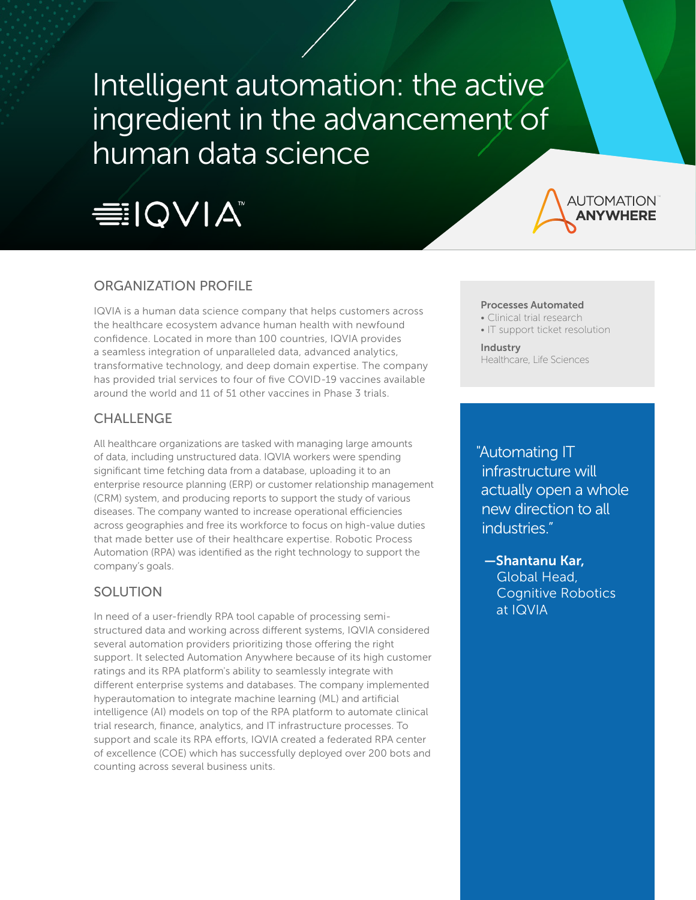# Intelligent automation: the active ingredient in the advancement of human data science





# ORGANIZATION PROFILE

IQVIA is a human data science company that helps customers across the healthcare ecosystem advance human health with newfound confidence. Located in more than 100 countries, IQVIA provides a seamless integration of unparalleled data, advanced analytics, transformative technology, and deep domain expertise. The company has provided trial services to four of five COVID-19 vaccines available around the world and 11 of 51 other vaccines in Phase 3 trials.

#### CHALLENGE

All healthcare organizations are tasked with managing large amounts of data, including unstructured data. IQVIA workers were spending significant time fetching data from a database, uploading it to an enterprise resource planning (ERP) or customer relationship management (CRM) system, and producing reports to support the study of various diseases. The company wanted to increase operational efficiencies across geographies and free its workforce to focus on high-value duties that made better use of their healthcare expertise. Robotic Process Automation (RPA) was identified as the right technology to support the company's goals.

### SOLUTION

In need of a user-friendly RPA tool capable of processing semistructured data and working across different systems, IQVIA considered several automation providers prioritizing those offering the right support. It selected Automation Anywhere because of its high customer ratings and its RPA platform's ability to seamlessly integrate with different enterprise systems and databases. The company implemented hyperautomation to integrate machine learning (ML) and artificial intelligence (AI) models on top of the RPA platform to automate clinical trial research, finance, analytics, and IT infrastructure processes. To support and scale its RPA efforts, IQVIA created a federated RPA center of excellence (COE) which has successfully deployed over 200 bots and counting across several business units.

#### Processes Automated

- Clinical trial research
- IT support ticket resolution

Industry Healthcare, Life Sciences

"Automating IT infrastructure will actually open a whole new direction to all industries."

 —Shantanu Kar, Global Head, Cognitive Robotics at IQVIA